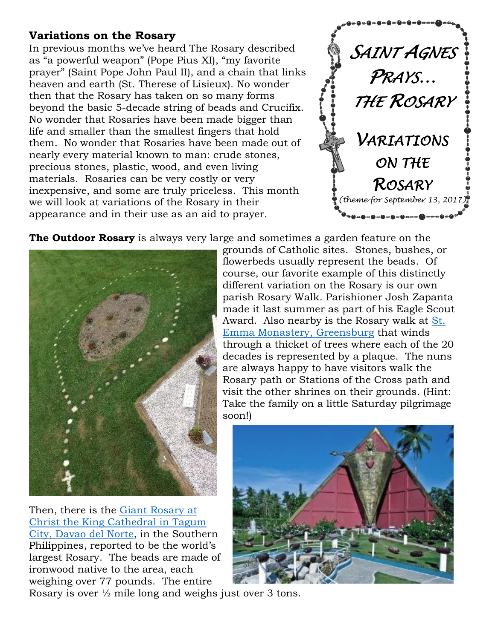## **Variations on the Rosary**

In previous months we've heard The Rosary described as "a powerful weapon" (Pope Pius XI), "my favorite prayer" (Saint Pope John Paul II), and a chain that links heaven and earth (St. Therese of Lisieux). No wonder then that the Rosary has taken on so many forms beyond the basic 5-decade string of beads and Crucifix. No wonder that Rosaries have been made bigger than life and smaller than the smallest fingers that hold them. No wonder that Rosaries have been made out of nearly every material known to man: crude stones, precious stones, plastic, wood, and even living materials. Rosaries can be very costly or very inexpensive, and some are truly priceless. This month we will look at variations of the Rosary in their appearance and in their use as an aid to prayer.



**The Outdoor Rosary** is always very large and sometimes a garden feature on the



Then, there is the [Giant Rosary](http://tourismtagum.com/christ-the-king-cathedral/) at [Christ the King Cathedral in Tagum](http://tourismtagum.com/christ-the-king-cathedral/)  [City, Davao del Norte,](http://tourismtagum.com/christ-the-king-cathedral/) in the Southern Philippines, reported to be the world's largest Rosary. The beads are made of ironwood native to the area, each weighing over 77 pounds. The entire

flowerbeds usually represent the beads. Of course, our favorite example of this distinctly different variation on the Rosary is our own parish Rosary Walk. Parishioner Josh Zapanta made it last summer as part of his Eagle Scout Award. Also nearby is the Rosary walk at [St.](http://www.stemma.org/)  [Emma Monastery, Greensburg](http://www.stemma.org/) that winds through a thicket of trees where each of the 20 decades is represented by a plaque. The nuns are always happy to have visitors walk the Rosary path or Stations of the Cross path and visit the other shrines on their grounds. (Hint: Take the family on a little Saturday pilgrimage soon!)

grounds of Catholic sites. Stones, bushes, or



Rosary is over ½ mile long and weighs just over 3 tons.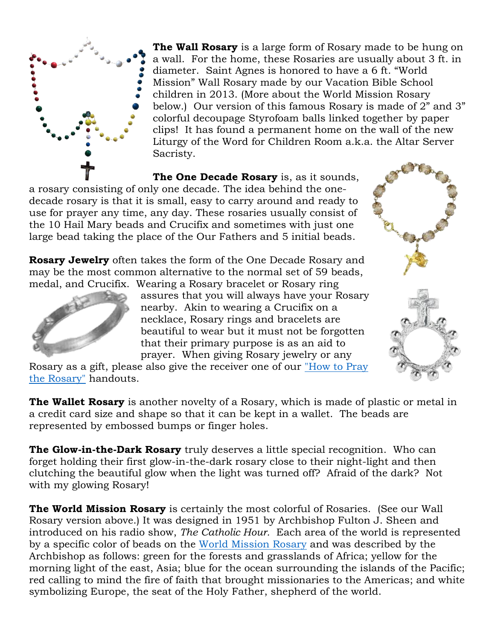

**The Wall Rosary** is a large form of Rosary made to be hung on a wall. For the home, these Rosaries are usually about 3 ft. in diameter. Saint Agnes is honored to have a 6 ft. "World Mission" Wall Rosary made by our Vacation Bible School children in 2013. (More about the World Mission Rosary below.) Our version of this famous Rosary is made of 2" and 3" colorful decoupage Styrofoam balls linked together by paper clips! It has found a permanent home on the wall of the new Liturgy of the Word for Children Room a.k.a. the Altar Server Sacristy.

**The One Decade Rosary** is, as it sounds, a rosary consisting of only one decade. The idea behind the onedecade rosary is that it is small, easy to carry around and ready to use for prayer any time, any day. These rosaries usually consist of the 10 Hail Mary beads and Crucifix and sometimes with just one large bead taking the place of the Our Fathers and 5 initial beads.

**Rosary Jewelry** often takes the form of the One Decade Rosary and may be the most common alternative to the normal set of 59 beads, medal, and Crucifix. Wearing a Rosary bracelet or Rosary ring



assures that you will always have your Rosary nearby. Akin to wearing a Crucifix on a necklace, Rosary rings and bracelets are beautiful to wear but it must not be forgotten that their primary purpose is as an aid to prayer. When giving Rosary jewelry or any

Rosary as a gift, please also give the receiver one of our ["How to Pray](http://stagneschurch.info/wp-content/uploads/2017/06/How2PraytheRosary-StAgnes.pdf)  [the Rosary"](http://stagneschurch.info/wp-content/uploads/2017/06/How2PraytheRosary-StAgnes.pdf) handouts.

**The Wallet Rosary** is another novelty of a Rosary, which is made of plastic or metal in a credit card size and shape so that it can be kept in a wallet. The beads are represented by embossed bumps or finger holes.

**The Glow-in-the-Dark Rosary** truly deserves a little special recognition. Who can forget holding their first glow-in-the-dark rosary close to their night-light and then clutching the beautiful glow when the light was turned off? Afraid of the dark? Not with my glowing Rosary!

**The World Mission Rosary** is certainly the most colorful of Rosaries. (See our Wall Rosary version above.) It was designed in 1951 by Archbishop Fulton J. Sheen and introduced on his radio show, *The Catholic Hour.* Each area of the world is represented by a specific color of beads on the [World Mission Rosary](http://archstl.org/mission/page/world-mission-rosary) and was described by the Archbishop as follows: green for the forests and grasslands of Africa; yellow for the morning light of the east, Asia; blue for the ocean surrounding the islands of the Pacific; red calling to mind the fire of faith that brought missionaries to the Americas; and white symbolizing Europe, the seat of the Holy Father, shepherd of the world.

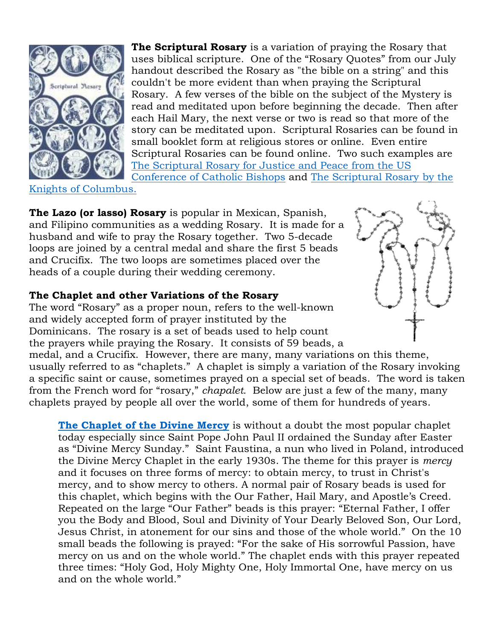

**The Scriptural Rosary** is a variation of praying the Rosary that uses biblical scripture. One of the "Rosary Quotes" from our July handout described the Rosary as "the bible on a string" and this couldn't be more evident than when praying the Scriptural Rosary. A few verses of the bible on the subject of the Mystery is read and meditated upon before beginning the decade. Then after each Hail Mary, the next verse or two is read so that more of the story can be meditated upon. Scriptural Rosaries can be found in small booklet form at religious stores or online. Even entire Scriptural Rosaries can be found online. Two such examples are [The Scriptural Rosary for Justice and Peace](http://www.usccb.org/prayer-and-worship/prayers-and-devotions/rosaries/scriptural-rosary-for-justice-and-peace-homepage.cfm) from the US [Conference of Catholic Bishops](http://www.usccb.org/prayer-and-worship/prayers-and-devotions/rosaries/scriptural-rosary-for-justice-and-peace-homepage.cfm) and [The Scriptural Rosary by the](https://www.kofc.org/en/resources/cis/cis319.pdf) 

[Knights of Columbus.](https://www.kofc.org/en/resources/cis/cis319.pdf)

**The Lazo (or lasso) Rosary** is popular in Mexican, Spanish, and Filipino communities as a wedding Rosary. It is made for a husband and wife to pray the Rosary together. Two 5-decade loops are joined by a central medal and share the first 5 beads and Crucifix. The two loops are sometimes placed over the heads of a couple during their wedding ceremony.

## **The Chaplet and other Variations of the Rosary**

The word "Rosary" as a proper noun, refers to the well-known and widely accepted form of prayer instituted by the Dominicans. The rosary is a set of beads used to help count the prayers while praying the Rosary. It consists of 59 beads, a



medal, and a Crucifix. However, there are many, many variations on this theme, usually referred to as "chaplets." A chaplet is simply a variation of the Rosary invoking a specific saint or cause, sometimes prayed on a special set of beads. The word is taken from the French word for "rosary," *chapalet.* Below are just a few of the many, many chaplets prayed by people all over the world, some of them for hundreds of years.

**[The Chaplet of the Divine Mercy](http://www.thedivinemercy.org/message/devotions/praythechaplet.php)** is without a doubt the most popular chaplet today especially since Saint Pope John Paul II ordained the Sunday after Easter as "Divine Mercy Sunday." Saint Faustina, a nun who lived in Poland, introduced the Divine Mercy Chaplet in the early 1930s. The theme for this prayer is *mercy* and it focuses on three forms of mercy: to obtain mercy, to trust in Christ's mercy, and to show mercy to others. A normal pair of Rosary beads is used for this chaplet, which begins with the Our Father, Hail Mary, and Apostle's Creed. Repeated on the large "Our Father" beads is this prayer: "Eternal Father, I offer you the Body and Blood, Soul and Divinity of Your Dearly Beloved Son, Our Lord, Jesus Christ, in atonement for our sins and those of the whole world." On the 10 small beads the following is prayed: "For the sake of His sorrowful Passion, have mercy on us and on the whole world." The chaplet ends with this prayer repeated three times: "Holy God, Holy Mighty One, Holy Immortal One, have mercy on us and on the whole world."